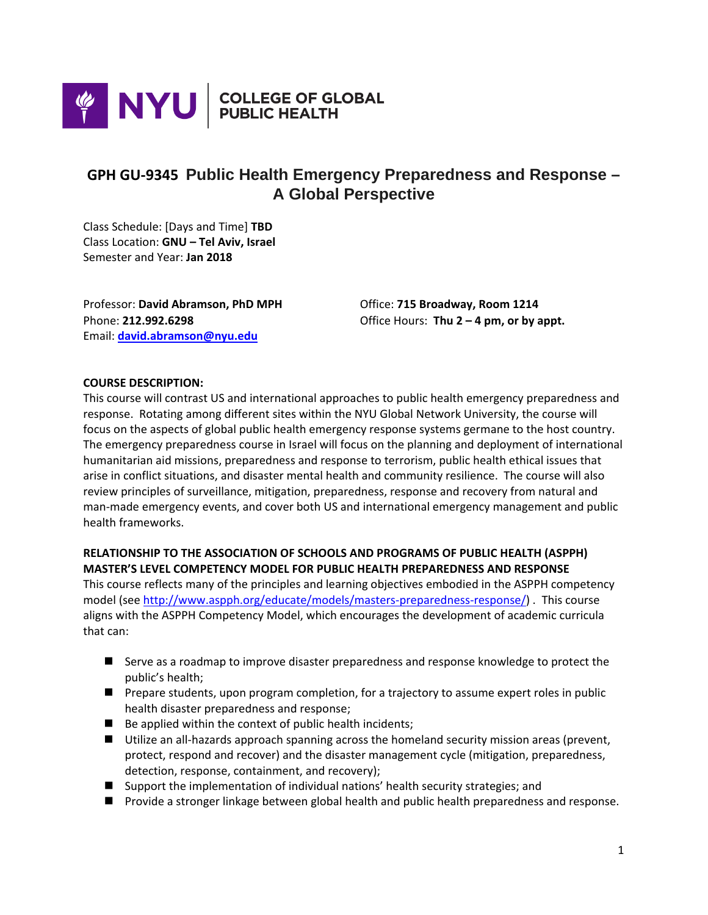

# **GPH GU-9345 Public Health Emergency Preparedness and Response – A Global Perspective**

Class Schedule: [Days and Time] **TBD** Class Location: **GNU – Tel Aviv, Israel** Semester and Year: **Jan 2018**

Professor: **David Abramson, PhD MPH** Office: **715 Broadway, Room 1214** Email: **[david.abramson@nyu.edu](mailto:david.abramson@nyu.edu)**

Phone: **212.992.6298** Office Hours: **Thu 2 – 4 pm, or by appt.**

#### **COURSE DESCRIPTION:**

This course will contrast US and international approaches to public health emergency preparedness and response. Rotating among different sites within the NYU Global Network University, the course will focus on the aspects of global public health emergency response systems germane to the host country. The emergency preparedness course in Israel will focus on the planning and deployment of international humanitarian aid missions, preparedness and response to terrorism, public health ethical issues that arise in conflict situations, and disaster mental health and community resilience. The course will also review principles of surveillance, mitigation, preparedness, response and recovery from natural and man-made emergency events, and cover both US and international emergency management and public health frameworks.

# **RELATIONSHIP TO THE ASSOCIATION OF SCHOOLS AND PROGRAMS OF PUBLIC HEALTH (ASPPH) MASTER'S LEVEL COMPETENCY MODEL FOR PUBLIC HEALTH PREPAREDNESS AND RESPONSE**

This course reflects many of the principles and learning objectives embodied in the ASPPH competency model (see [http://www.aspph.org/educate/models/masters-preparedness-response/\)](http://www.aspph.org/educate/models/masters-preparedness-response/) . This course aligns with the ASPPH Competency Model, which encourages the development of academic curricula that can:

- Serve as a roadmap to improve disaster preparedness and response knowledge to protect the public's health;
- **Prepare students, upon program completion, for a trajectory to assume expert roles in public** health disaster preparedness and response;
- $\blacksquare$  Be applied within the context of public health incidents;
- Utilize an all-hazards approach spanning across the homeland security mission areas (prevent, protect, respond and recover) and the disaster management cycle (mitigation, preparedness, detection, response, containment, and recovery);
- Support the implementation of individual nations' health security strategies; and
- **Provide a stronger linkage between global health and public health preparedness and response.**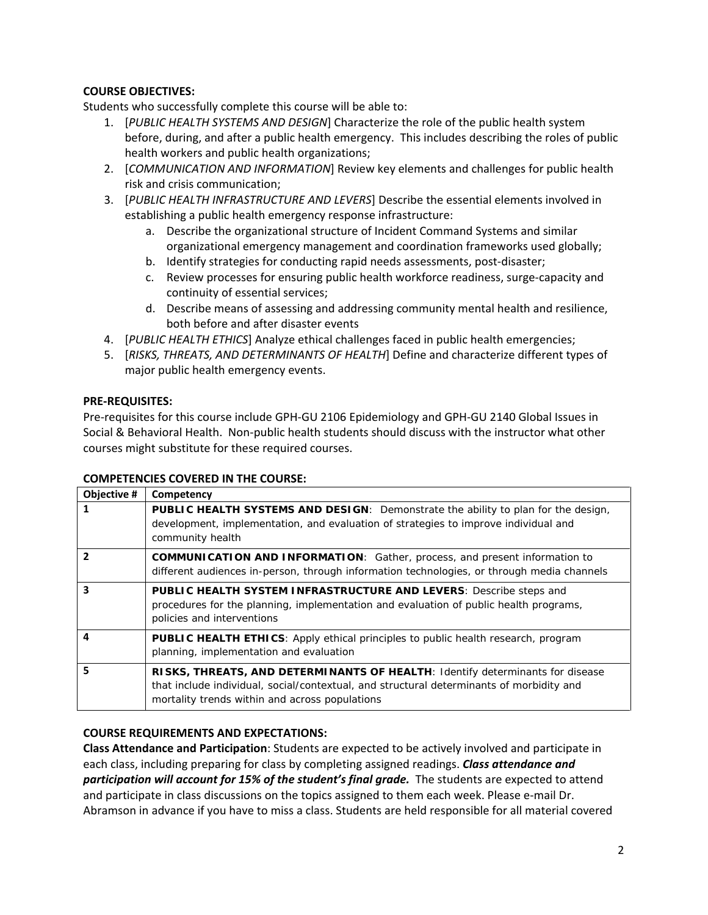# **COURSE OBJECTIVES:**

Students who successfully complete this course will be able to:

- 1. [*PUBLIC HEALTH SYSTEMS AND DESIGN*] Characterize the role of the public health system before, during, and after a public health emergency. This includes describing the roles of public health workers and public health organizations;
- 2. [*COMMUNICATION AND INFORMATION*] Review key elements and challenges for public health risk and crisis communication;
- 3. [*PUBLIC HEALTH INFRASTRUCTURE AND LEVERS*] Describe the essential elements involved in establishing a public health emergency response infrastructure:
	- a. Describe the organizational structure of Incident Command Systems and similar organizational emergency management and coordination frameworks used globally;
	- b. Identify strategies for conducting rapid needs assessments, post-disaster;
	- c. Review processes for ensuring public health workforce readiness, surge-capacity and continuity of essential services;
	- d. Describe means of assessing and addressing community mental health and resilience, both before and after disaster events
- 4. [*PUBLIC HEALTH ETHICS*] Analyze ethical challenges faced in public health emergencies;
- 5. [*RISKS, THREATS, AND DETERMINANTS OF HEALTH*] Define and characterize different types of major public health emergency events.

#### **PRE-REQUISITES:**

Pre-requisites for this course include GPH-GU 2106 Epidemiology and GPH-GU 2140 Global Issues in Social & Behavioral Health. Non-public health students should discuss with the instructor what other courses might substitute for these required courses.

#### **COMPETENCIES COVERED IN THE COURSE:**

| Objective #    | Competency                                                                                                                                                                                                                  |
|----------------|-----------------------------------------------------------------------------------------------------------------------------------------------------------------------------------------------------------------------------|
|                | <b>PUBLIC HEALTH SYSTEMS AND DESIGN:</b> Demonstrate the ability to plan for the design,<br>development, implementation, and evaluation of strategies to improve individual and<br>community health                         |
| $\overline{2}$ | <b>COMMUNICATION AND INFORMATION:</b> Gather, process, and present information to<br>different audiences in-person, through information technologies, or through media channels                                             |
| 3              | PUBLIC HEALTH SYSTEM INFRASTRUCTURE AND LEVERS: Describe steps and<br>procedures for the planning, implementation and evaluation of public health programs,<br>policies and interventions                                   |
|                | <b>PUBLIC HEALTH ETHICS:</b> Apply ethical principles to public health research, program<br>planning, implementation and evaluation                                                                                         |
| 5              | RISKS, THREATS, AND DETERMINANTS OF HEALTH: Identify determinants for disease<br>that include individual, social/contextual, and structural determinants of morbidity and<br>mortality trends within and across populations |

#### **COURSE REQUIREMENTS AND EXPECTATIONS:**

**Class Attendance and Participation**: Students are expected to be actively involved and participate in each class, including preparing for class by completing assigned readings. *Class attendance and participation will account for 15% of the student's final grade.* The students are expected to attend and participate in class discussions on the topics assigned to them each week. Please e-mail Dr. Abramson in advance if you have to miss a class. Students are held responsible for all material covered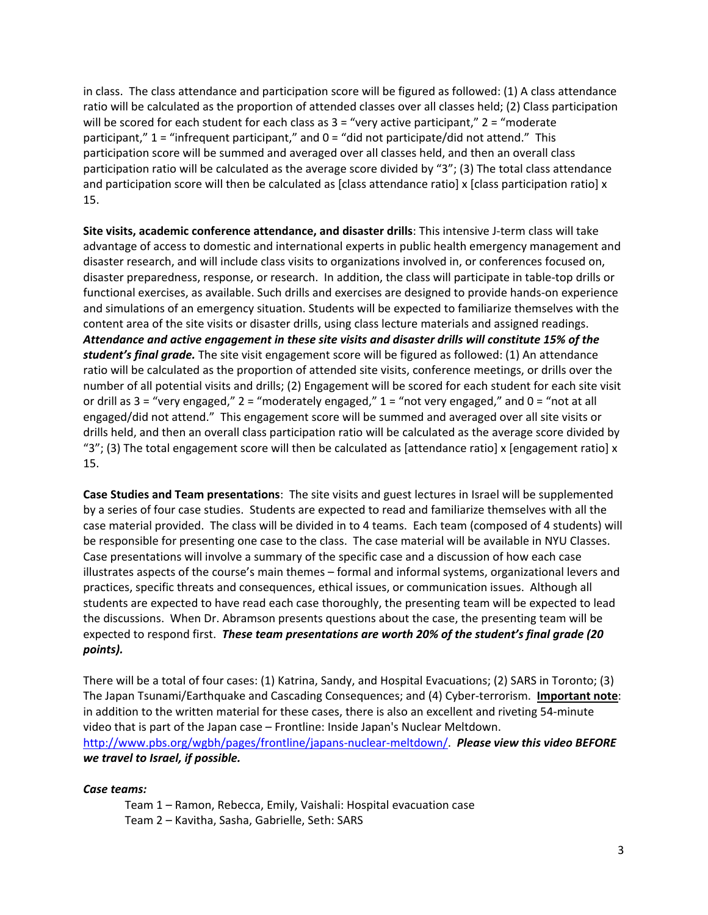in class. The class attendance and participation score will be figured as followed: (1) A class attendance ratio will be calculated as the proportion of attended classes over all classes held; (2) Class participation will be scored for each student for each class as  $3 =$  "very active participant,"  $2 =$  "moderate participant," 1 = "infrequent participant," and 0 = "did not participate/did not attend." This participation score will be summed and averaged over all classes held, and then an overall class participation ratio will be calculated as the average score divided by "3"; (3) The total class attendance and participation score will then be calculated as [class attendance ratio] x [class participation ratio] x 15.

**Site visits, academic conference attendance, and disaster drills**: This intensive J-term class will take advantage of access to domestic and international experts in public health emergency management and disaster research, and will include class visits to organizations involved in, or conferences focused on, disaster preparedness, response, or research. In addition, the class will participate in table-top drills or functional exercises, as available. Such drills and exercises are designed to provide hands-on experience and simulations of an emergency situation. Students will be expected to familiarize themselves with the content area of the site visits or disaster drills, using class lecture materials and assigned readings. *Attendance and active engagement in these site visits and disaster drills will constitute 15% of the student's final grade.* The site visit engagement score will be figured as followed: (1) An attendance ratio will be calculated as the proportion of attended site visits, conference meetings, or drills over the number of all potential visits and drills; (2) Engagement will be scored for each student for each site visit or drill as  $3 =$  "very engaged,"  $2 =$  "moderately engaged,"  $1 =$  "not very engaged," and  $0 =$  "not at all engaged/did not attend." This engagement score will be summed and averaged over all site visits or drills held, and then an overall class participation ratio will be calculated as the average score divided by "3"; (3) The total engagement score will then be calculated as [attendance ratio] x [engagement ratio] x 15.

**Case Studies and Team presentations**: The site visits and guest lectures in Israel will be supplemented by a series of four case studies. Students are expected to read and familiarize themselves with all the case material provided. The class will be divided in to 4 teams. Each team (composed of 4 students) will be responsible for presenting one case to the class. The case material will be available in NYU Classes. Case presentations will involve a summary of the specific case and a discussion of how each case illustrates aspects of the course's main themes – formal and informal systems, organizational levers and practices, specific threats and consequences, ethical issues, or communication issues. Although all students are expected to have read each case thoroughly, the presenting team will be expected to lead the discussions. When Dr. Abramson presents questions about the case, the presenting team will be expected to respond first. *These team presentations are worth 20% of the student's final grade (20 points).* 

There will be a total of four cases: (1) Katrina, Sandy, and Hospital Evacuations; (2) SARS in Toronto; (3) The Japan Tsunami/Earthquake and Cascading Consequences; and (4) Cyber-terrorism. **Important note**: in addition to the written material for these cases, there is also an excellent and riveting 54-minute video that is part of the Japan case – Frontline: Inside Japan's Nuclear Meltdown. [http://www.pbs.org/wgbh/pages/frontline/japans-nuclear-meltdown/.](http://www.pbs.org/wgbh/pages/frontline/japans-nuclear-meltdown/) *Please view this video BEFORE we travel to Israel, if possible.*

#### *Case teams:*

Team 1 – Ramon, Rebecca, Emily, Vaishali: Hospital evacuation case Team 2 – Kavitha, Sasha, Gabrielle, Seth: SARS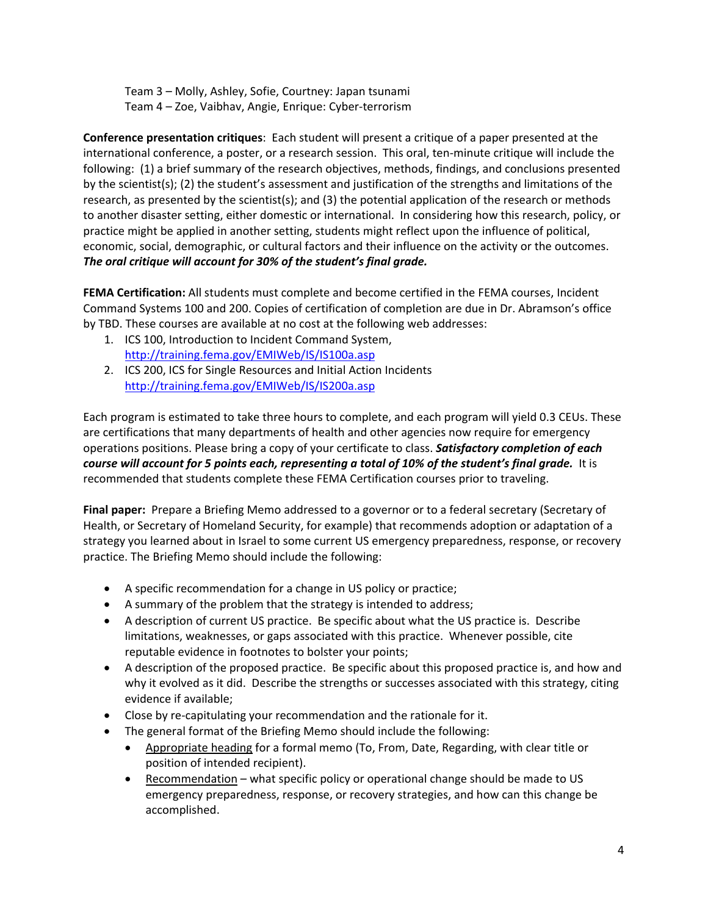Team 3 – Molly, Ashley, Sofie, Courtney: Japan tsunami Team 4 – Zoe, Vaibhav, Angie, Enrique: Cyber-terrorism

**Conference presentation critiques**: Each student will present a critique of a paper presented at the international conference, a poster, or a research session. This oral, ten-minute critique will include the following: (1) a brief summary of the research objectives, methods, findings, and conclusions presented by the scientist(s); (2) the student's assessment and justification of the strengths and limitations of the research, as presented by the scientist(s); and (3) the potential application of the research or methods to another disaster setting, either domestic or international. In considering how this research, policy, or practice might be applied in another setting, students might reflect upon the influence of political, economic, social, demographic, or cultural factors and their influence on the activity or the outcomes. *The oral critique will account for 30% of the student's final grade.*

**FEMA Certification:** All students must complete and become certified in the FEMA courses, Incident Command Systems 100 and 200. Copies of certification of completion are due in Dr. Abramson's office by TBD. These courses are available at no cost at the following web addresses:

- 1. ICS 100, Introduction to Incident Command System, <http://training.fema.gov/EMIWeb/IS/IS100a.asp>
- 2. ICS 200, ICS for Single Resources and Initial Action Incidents <http://training.fema.gov/EMIWeb/IS/IS200a.asp>

Each program is estimated to take three hours to complete, and each program will yield 0.3 CEUs. These are certifications that many departments of health and other agencies now require for emergency operations positions. Please bring a copy of your certificate to class. *Satisfactory completion of each course will account for 5 points each, representing a total of 10% of the student's final grade.* It is recommended that students complete these FEMA Certification courses prior to traveling.

**Final paper:** Prepare a Briefing Memo addressed to a governor or to a federal secretary (Secretary of Health, or Secretary of Homeland Security, for example) that recommends adoption or adaptation of a strategy you learned about in Israel to some current US emergency preparedness, response, or recovery practice. The Briefing Memo should include the following:

- A specific recommendation for a change in US policy or practice;
- A summary of the problem that the strategy is intended to address;
- A description of current US practice. Be specific about what the US practice is. Describe limitations, weaknesses, or gaps associated with this practice. Whenever possible, cite reputable evidence in footnotes to bolster your points;
- A description of the proposed practice. Be specific about this proposed practice is, and how and why it evolved as it did. Describe the strengths or successes associated with this strategy, citing evidence if available;
- Close by re-capitulating your recommendation and the rationale for it.
- The general format of the Briefing Memo should include the following:
	- Appropriate heading for a formal memo (To, From, Date, Regarding, with clear title or position of intended recipient).
	- Recommendation what specific policy or operational change should be made to US emergency preparedness, response, or recovery strategies, and how can this change be accomplished.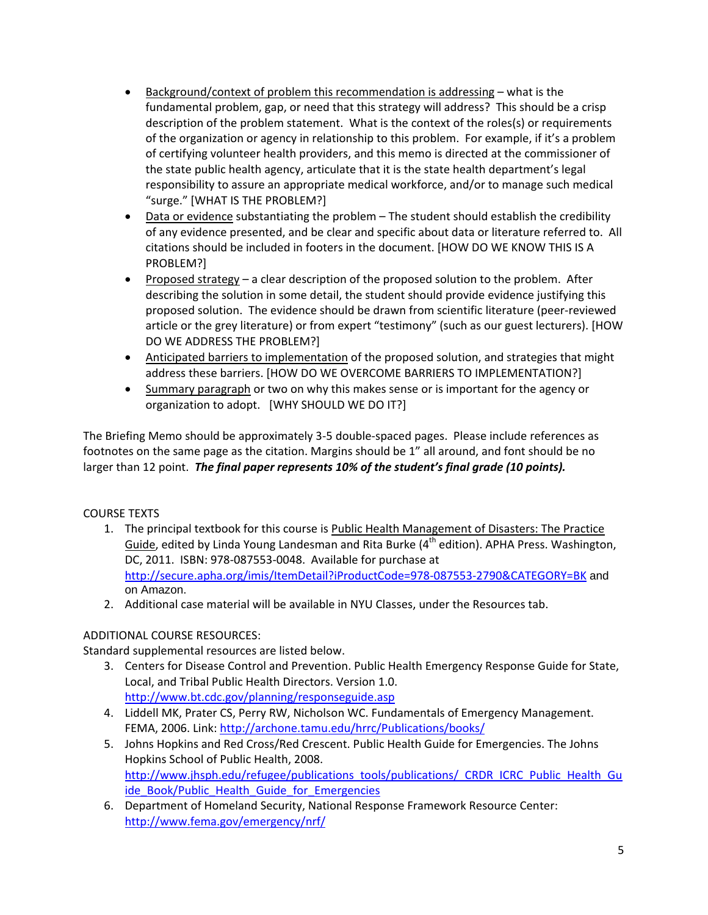- Background/context of problem this recommendation is addressing what is the fundamental problem, gap, or need that this strategy will address? This should be a crisp description of the problem statement. What is the context of the roles(s) or requirements of the organization or agency in relationship to this problem. For example, if it's a problem of certifying volunteer health providers, and this memo is directed at the commissioner of the state public health agency, articulate that it is the state health department's legal responsibility to assure an appropriate medical workforce, and/or to manage such medical "surge." [WHAT IS THE PROBLEM?]
- Data or evidence substantiating the problem The student should establish the credibility of any evidence presented, and be clear and specific about data or literature referred to. All citations should be included in footers in the document. [HOW DO WE KNOW THIS IS A PROBLEM?]
- Proposed strategy a clear description of the proposed solution to the problem. After describing the solution in some detail, the student should provide evidence justifying this proposed solution. The evidence should be drawn from scientific literature (peer-reviewed article or the grey literature) or from expert "testimony" (such as our guest lecturers). [HOW DO WE ADDRESS THE PROBLEM?]
- Anticipated barriers to implementation of the proposed solution, and strategies that might address these barriers. [HOW DO WE OVERCOME BARRIERS TO IMPLEMENTATION?]
- Summary paragraph or two on why this makes sense or is important for the agency or organization to adopt. [WHY SHOULD WE DO IT?]

The Briefing Memo should be approximately 3-5 double-spaced pages. Please include references as footnotes on the same page as the citation. Margins should be 1" all around, and font should be no larger than 12 point. *The final paper represents 10% of the student's final grade (10 points).*

# COURSE TEXTS

- 1. The principal textbook for this course is Public Health Management of Disasters: The Practice Guide, edited by Linda Young Landesman and Rita Burke ( $4<sup>th</sup>$  edition). APHA Press. Washington, DC, 2011. ISBN: 978-087553-0048. Available for purchase at <http://secure.apha.org/imis/ItemDetail?iProductCode=978-087553-2790&CATEGORY=BK> and on Amazon.
- 2. Additional case material will be available in NYU Classes, under the Resources tab.

# ADDITIONAL COURSE RESOURCES:

Standard supplemental resources are listed below.

- 3. Centers for Disease Control and Prevention. Public Health Emergency Response Guide for State, Local, and Tribal Public Health Directors. Version 1.0. <http://www.bt.cdc.gov/planning/responseguide.asp>
- 4. Liddell MK, Prater CS, Perry RW, Nicholson WC. Fundamentals of Emergency Management. FEMA, 2006. Link:<http://archone.tamu.edu/hrrc/Publications/books/>
- 5. Johns Hopkins and Red Cross/Red Crescent. Public Health Guide for Emergencies. The Johns Hopkins School of Public Health, 2008. [http://www.jhsph.edu/refugee/publications\\_tools/publications/\\_CRDR\\_ICRC\\_Public\\_Health\\_Gu](http://www.jhsph.edu/refugee/publications_tools/publications/_CRDR_ICRC_Public_Health_Guide_Book/Public_Health_Guide_for_Emergencies) [ide\\_Book/Public\\_Health\\_Guide\\_for\\_Emergencies](http://www.jhsph.edu/refugee/publications_tools/publications/_CRDR_ICRC_Public_Health_Guide_Book/Public_Health_Guide_for_Emergencies)
- 6. Department of Homeland Security, National Response Framework Resource Center: <http://www.fema.gov/emergency/nrf/>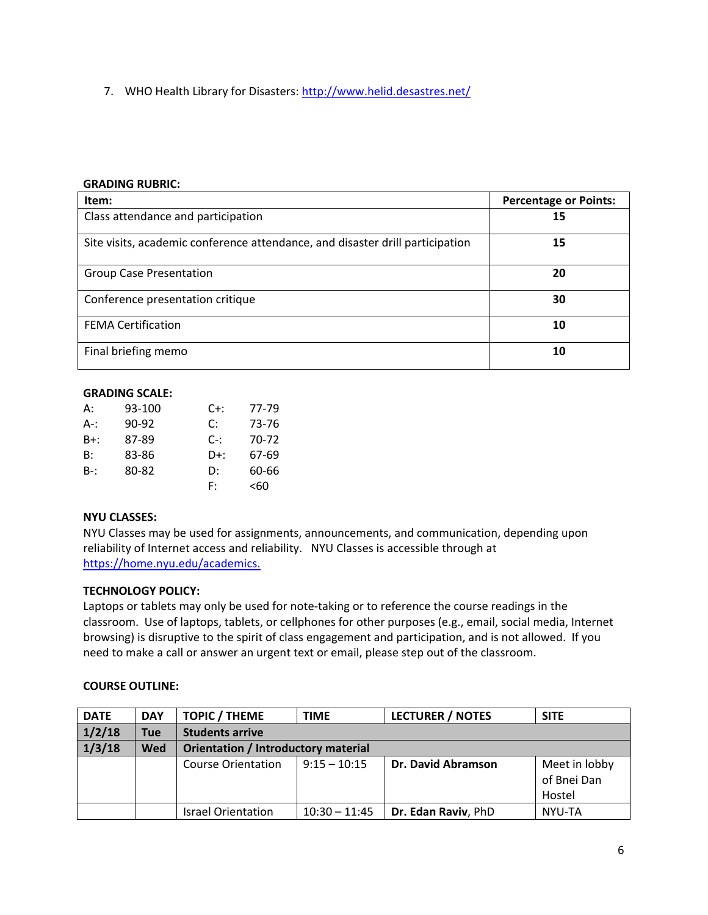7. WHO Health Library for Disasters:<http://www.helid.desastres.net/>

#### **GRADING RUBRIC:**

| Item:                                                                         | <b>Percentage or Points:</b> |
|-------------------------------------------------------------------------------|------------------------------|
| Class attendance and participation                                            | 15                           |
| Site visits, academic conference attendance, and disaster drill participation | 15                           |
| <b>Group Case Presentation</b>                                                | 20                           |
| Conference presentation critique                                              | 30                           |
| <b>FEMA Certification</b>                                                     | 10                           |
| Final briefing memo                                                           | 10                           |

#### **GRADING SCALE:**

| А:  | 93-100 | $C+$ : | 77-79 |
|-----|--------|--------|-------|
| A-: | 90-92  | C:     | 73-76 |
| B+: | 87-89  | C-:    | 70-72 |
| B:  | 83-86  | D+:    | 67-69 |
| B-: | 80-82  | D:     | 60-66 |
|     |        | F:     | <60   |

### **NYU CLASSES:**

NYU Classes may be used for assignments, announcements, and communication, depending upon reliability of Internet access and reliability. NYU Classes is accessible through at [https://home.nyu.edu/academics.](https://home.nyu.edu/academics)

#### **TECHNOLOGY POLICY:**

Laptops or tablets may only be used for note-taking or to reference the course readings in the classroom. Use of laptops, tablets, or cellphones for other purposes (e.g., email, social media, Internet browsing) is disruptive to the spirit of class engagement and participation, and is not allowed. If you need to make a call or answer an urgent text or email, please step out of the classroom.

#### **COURSE OUTLINE:**

| <b>DATE</b> | <b>DAY</b> | <b>TOPIC / THEME</b>                | <b>TIME</b>     | <b>LECTURER / NOTES</b>   | <b>SITE</b>   |  |
|-------------|------------|-------------------------------------|-----------------|---------------------------|---------------|--|
| 1/2/18      | <b>Tue</b> | <b>Students arrive</b>              |                 |                           |               |  |
| 1/3/18      | <b>Wed</b> | Orientation / Introductory material |                 |                           |               |  |
|             |            | Course Orientation                  | $9:15 - 10:15$  | <b>Dr. David Abramson</b> | Meet in lobby |  |
|             |            |                                     |                 |                           | of Bnei Dan   |  |
|             |            |                                     |                 |                           | Hostel        |  |
|             |            | <b>Israel Orientation</b>           | $10:30 - 11:45$ | Dr. Edan Raviv, PhD       | NYU-TA        |  |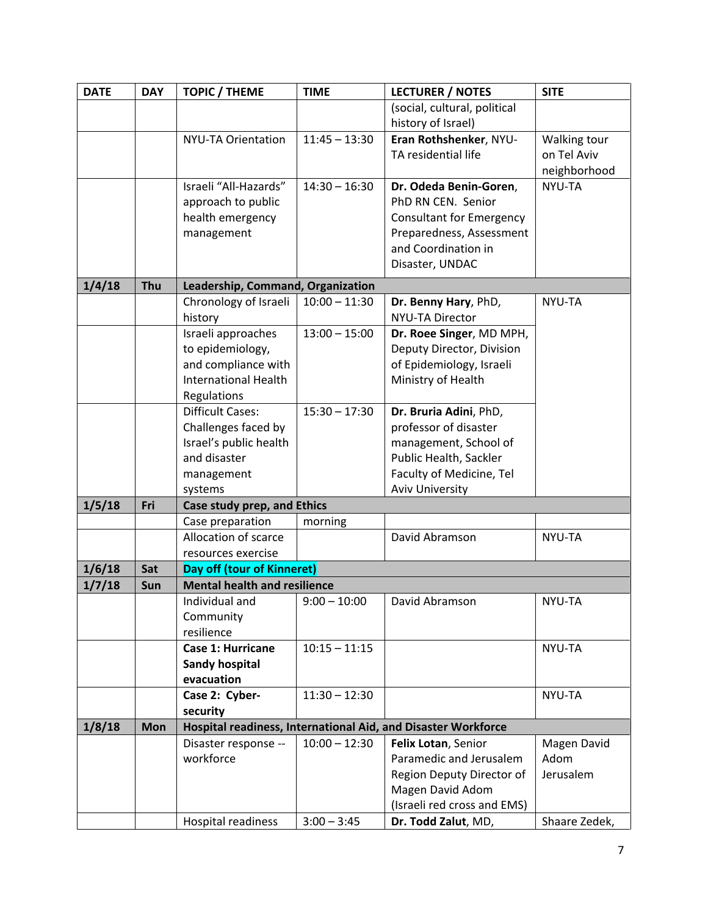| <b>DATE</b> | <b>DAY</b> | <b>TOPIC / THEME</b>                   | <b>TIME</b>     | <b>LECTURER / NOTES</b>                                       | <b>SITE</b>   |
|-------------|------------|----------------------------------------|-----------------|---------------------------------------------------------------|---------------|
|             |            |                                        |                 | (social, cultural, political                                  |               |
|             |            |                                        |                 | history of Israel)                                            |               |
|             |            | NYU-TA Orientation                     | $11:45 - 13:30$ | Eran Rothshenker, NYU-                                        | Walking tour  |
|             |            |                                        |                 | TA residential life                                           | on Tel Aviv   |
|             |            |                                        |                 |                                                               | neighborhood  |
|             |            | Israeli "All-Hazards"                  | $14:30 - 16:30$ | Dr. Odeda Benin-Goren,                                        | NYU-TA        |
|             |            | approach to public                     |                 | PhD RN CEN. Senior                                            |               |
|             |            | health emergency                       |                 | <b>Consultant for Emergency</b>                               |               |
|             |            | management                             |                 | Preparedness, Assessment                                      |               |
|             |            |                                        |                 | and Coordination in                                           |               |
|             |            |                                        |                 | Disaster, UNDAC                                               |               |
| 1/4/18      | Thu        | Leadership, Command, Organization      |                 |                                                               |               |
|             |            | Chronology of Israeli                  | $10:00 - 11:30$ | Dr. Benny Hary, PhD,                                          | NYU-TA        |
|             |            | history                                |                 | <b>NYU-TA Director</b>                                        |               |
|             |            | Israeli approaches                     | $13:00 - 15:00$ | Dr. Roee Singer, MD MPH,                                      |               |
|             |            | to epidemiology,                       |                 | Deputy Director, Division                                     |               |
|             |            | and compliance with                    |                 | of Epidemiology, Israeli                                      |               |
|             |            | <b>International Health</b>            |                 | Ministry of Health                                            |               |
|             |            | Regulations                            |                 |                                                               |               |
|             |            | <b>Difficult Cases:</b>                | $15:30 - 17:30$ | Dr. Bruria Adini, PhD,                                        |               |
|             |            | Challenges faced by                    |                 | professor of disaster                                         |               |
|             |            | Israel's public health                 |                 | management, School of                                         |               |
|             |            | and disaster                           |                 | Public Health, Sackler                                        |               |
|             |            | management                             |                 | Faculty of Medicine, Tel                                      |               |
|             |            | systems                                |                 | <b>Aviv University</b>                                        |               |
| 1/5/18      | Fri        | Case study prep, and Ethics            |                 |                                                               |               |
|             |            | Case preparation                       | morning         |                                                               |               |
|             |            | Allocation of scarce                   |                 | David Abramson                                                | NYU-TA        |
|             |            | resources exercise                     |                 |                                                               |               |
| 1/6/18      | Sat        | Day off (tour of Kinneret)             |                 |                                                               |               |
| 1/7/18      | Sun        | <b>Mental health and resilience</b>    |                 |                                                               |               |
|             |            | Individual and                         | $9:00 - 10:00$  | David Abramson                                                | NYU-TA        |
|             |            | Community                              |                 |                                                               |               |
|             |            | resilience<br><b>Case 1: Hurricane</b> | $10:15 - 11:15$ |                                                               | NYU-TA        |
|             |            | <b>Sandy hospital</b>                  |                 |                                                               |               |
|             |            | evacuation                             |                 |                                                               |               |
|             |            | Case 2: Cyber-                         | $11:30 - 12:30$ |                                                               | NYU-TA        |
|             |            | security                               |                 |                                                               |               |
| 1/8/18      | <b>Mon</b> |                                        |                 | Hospital readiness, International Aid, and Disaster Workforce |               |
|             |            | Disaster response --                   | $10:00 - 12:30$ | Felix Lotan, Senior                                           | Magen David   |
|             |            | workforce                              |                 | Paramedic and Jerusalem                                       | Adom          |
|             |            |                                        |                 | Region Deputy Director of                                     | Jerusalem     |
|             |            |                                        |                 | Magen David Adom                                              |               |
|             |            |                                        |                 | (Israeli red cross and EMS)                                   |               |
|             |            | Hospital readiness                     | $3:00 - 3:45$   | Dr. Todd Zalut, MD,                                           | Shaare Zedek, |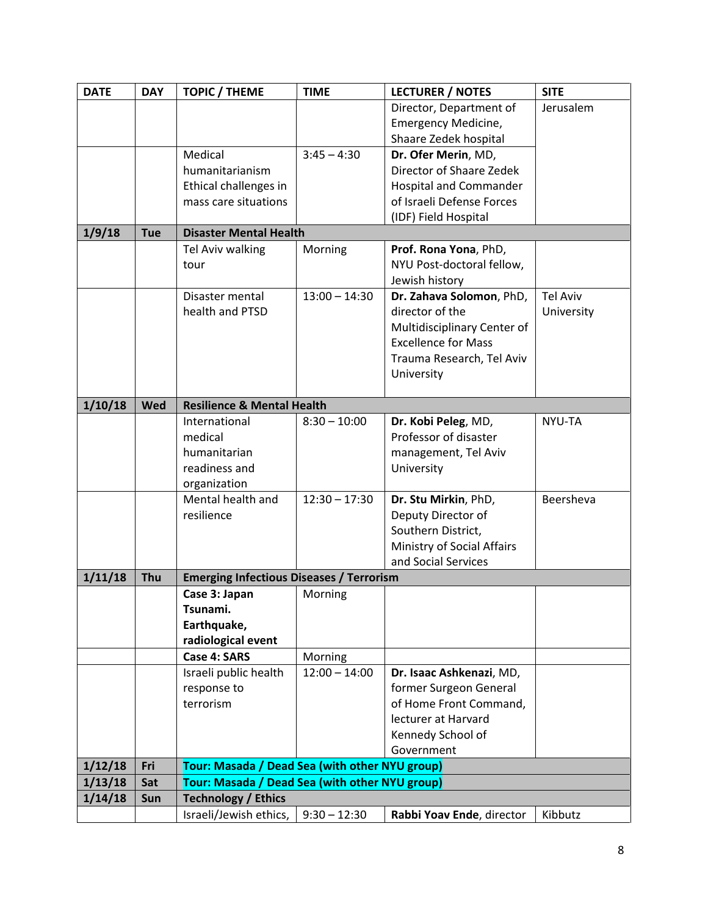| <b>DATE</b> | <b>DAY</b> | <b>TOPIC / THEME</b>                                                                             | <b>TIME</b>     | <b>LECTURER / NOTES</b>     | <b>SITE</b>     |
|-------------|------------|--------------------------------------------------------------------------------------------------|-----------------|-----------------------------|-----------------|
|             |            |                                                                                                  |                 | Director, Department of     | Jerusalem       |
|             |            |                                                                                                  |                 | Emergency Medicine,         |                 |
|             |            |                                                                                                  |                 | Shaare Zedek hospital       |                 |
|             |            | Medical                                                                                          | $3:45 - 4:30$   | Dr. Ofer Merin, MD,         |                 |
|             |            | humanitarianism                                                                                  |                 | Director of Shaare Zedek    |                 |
|             |            | Ethical challenges in                                                                            |                 | Hospital and Commander      |                 |
|             |            | mass care situations                                                                             |                 | of Israeli Defense Forces   |                 |
|             |            |                                                                                                  |                 | (IDF) Field Hospital        |                 |
| 1/9/18      | <b>Tue</b> | <b>Disaster Mental Health</b>                                                                    |                 |                             |                 |
|             |            | Tel Aviv walking                                                                                 | Morning         | Prof. Rona Yona, PhD,       |                 |
|             |            | tour                                                                                             |                 | NYU Post-doctoral fellow,   |                 |
|             |            |                                                                                                  |                 | Jewish history              |                 |
|             |            | Disaster mental                                                                                  | $13:00 - 14:30$ | Dr. Zahava Solomon, PhD,    | <b>Tel Aviv</b> |
|             |            | health and PTSD                                                                                  |                 | director of the             | University      |
|             |            |                                                                                                  |                 | Multidisciplinary Center of |                 |
|             |            |                                                                                                  |                 | <b>Excellence for Mass</b>  |                 |
|             |            |                                                                                                  |                 | Trauma Research, Tel Aviv   |                 |
|             |            |                                                                                                  |                 |                             |                 |
|             |            |                                                                                                  |                 | University                  |                 |
| 1/10/18     | Wed        | <b>Resilience &amp; Mental Health</b>                                                            |                 |                             |                 |
|             |            | International                                                                                    | $8:30 - 10:00$  | Dr. Kobi Peleg, MD,         | NYU-TA          |
|             |            | medical                                                                                          |                 | Professor of disaster       |                 |
|             |            | humanitarian                                                                                     |                 | management, Tel Aviv        |                 |
|             |            | readiness and                                                                                    |                 | University                  |                 |
|             |            | organization                                                                                     |                 |                             |                 |
|             |            | Mental health and                                                                                | $12:30 - 17:30$ | Dr. Stu Mirkin, PhD,        | Beersheva       |
|             |            | resilience                                                                                       |                 |                             |                 |
|             |            |                                                                                                  |                 | Deputy Director of          |                 |
|             |            |                                                                                                  |                 | Southern District,          |                 |
|             |            |                                                                                                  |                 | Ministry of Social Affairs  |                 |
| 1/11/18     | Thu        | <b>Emerging Infectious Diseases / Terrorism</b>                                                  |                 | and Social Services         |                 |
|             |            | Case 3: Japan                                                                                    | Morning         |                             |                 |
|             |            | Tsunami.                                                                                         |                 |                             |                 |
|             |            | Earthquake,                                                                                      |                 |                             |                 |
|             |            | radiological event                                                                               |                 |                             |                 |
|             |            | <b>Case 4: SARS</b>                                                                              | Morning         |                             |                 |
|             |            | Israeli public health                                                                            | $12:00 - 14:00$ | Dr. Isaac Ashkenazi, MD,    |                 |
|             |            | response to                                                                                      |                 | former Surgeon General      |                 |
|             |            | terrorism                                                                                        |                 | of Home Front Command,      |                 |
|             |            |                                                                                                  |                 | lecturer at Harvard         |                 |
|             |            |                                                                                                  |                 | Kennedy School of           |                 |
|             |            |                                                                                                  |                 | Government                  |                 |
| 1/12/18     | Fri        |                                                                                                  |                 |                             |                 |
| 1/13/18     | Sat        | Tour: Masada / Dead Sea (with other NYU group)<br>Tour: Masada / Dead Sea (with other NYU group) |                 |                             |                 |
| 1/14/18     | Sun        | <b>Technology / Ethics</b>                                                                       |                 |                             |                 |
|             |            | Israeli/Jewish ethics,                                                                           | $9:30 - 12:30$  | Rabbi Yoav Ende, director   | Kibbutz         |
|             |            |                                                                                                  |                 |                             |                 |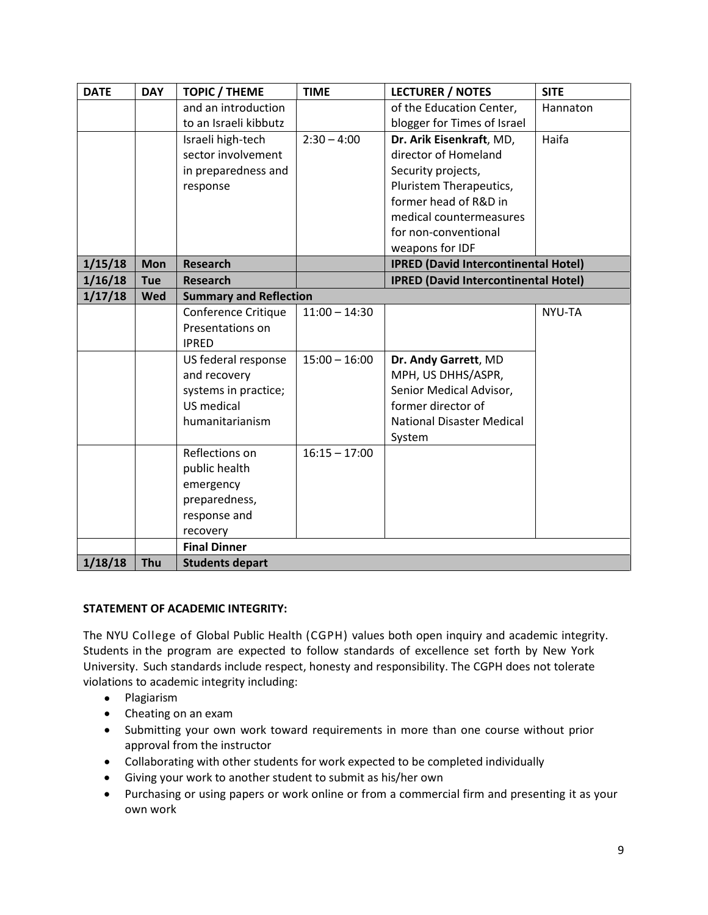| <b>DATE</b> | <b>DAY</b> | <b>TOPIC / THEME</b>          | <b>TIME</b>     | <b>LECTURER / NOTES</b>                     | <b>SITE</b> |
|-------------|------------|-------------------------------|-----------------|---------------------------------------------|-------------|
|             |            | and an introduction           |                 | of the Education Center,                    | Hannaton    |
|             |            | to an Israeli kibbutz         |                 | blogger for Times of Israel                 |             |
|             |            | Israeli high-tech             | $2:30 - 4:00$   | Dr. Arik Eisenkraft, MD,                    | Haifa       |
|             |            | sector involvement            |                 | director of Homeland                        |             |
|             |            | in preparedness and           |                 | Security projects,                          |             |
|             |            | response                      |                 | Pluristem Therapeutics,                     |             |
|             |            |                               |                 | former head of R&D in                       |             |
|             |            |                               |                 | medical countermeasures                     |             |
|             |            |                               |                 | for non-conventional                        |             |
|             |            |                               |                 | weapons for IDF                             |             |
| 1/15/18     | <b>Mon</b> | <b>Research</b>               |                 | <b>IPRED (David Intercontinental Hotel)</b> |             |
| 1/16/18     | <b>Tue</b> | <b>Research</b>               |                 | <b>IPRED (David Intercontinental Hotel)</b> |             |
| 1/17/18     | <b>Wed</b> | <b>Summary and Reflection</b> |                 |                                             |             |
|             |            | Conference Critique           | $11:00 - 14:30$ |                                             | NYU-TA      |
|             |            | Presentations on              |                 |                                             |             |
|             |            | <b>IPRED</b>                  |                 |                                             |             |
|             |            | US federal response           | $15:00 - 16:00$ | Dr. Andy Garrett, MD                        |             |
|             |            | and recovery                  |                 | MPH, US DHHS/ASPR,                          |             |
|             |            | systems in practice;          |                 | Senior Medical Advisor,                     |             |
|             |            | US medical                    |                 | former director of                          |             |
|             |            | humanitarianism               |                 | <b>National Disaster Medical</b>            |             |
|             |            |                               |                 | System                                      |             |
|             |            | Reflections on                | $16:15 - 17:00$ |                                             |             |
|             |            | public health                 |                 |                                             |             |
|             |            | emergency                     |                 |                                             |             |
|             |            | preparedness,                 |                 |                                             |             |
|             |            | response and                  |                 |                                             |             |
|             |            | recovery                      |                 |                                             |             |
|             |            | <b>Final Dinner</b>           |                 |                                             |             |
| 1/18/18     | Thu        | <b>Students depart</b>        |                 |                                             |             |

# **STATEMENT OF ACADEMIC INTEGRITY:**

The NYU College of Global Public Health (CGPH) values both open inquiry and academic integrity. Students in the program are expected to follow standards of excellence set forth by New York University. Such standards include respect, honesty and responsibility. The CGPH does not tolerate violations to academic integrity including:

- Plagiarism
- Cheating on an exam
- Submitting your own work toward requirements in more than one course without prior approval from the instructor
- Collaborating with other students for work expected to be completed individually
- Giving your work to another student to submit as his/her own
- Purchasing or using papers or work online or from a commercial firm and presenting it as your own work